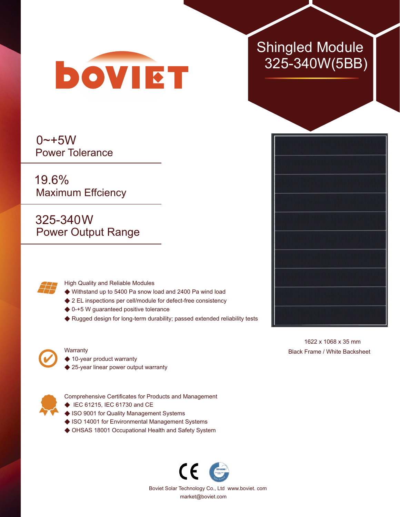

 $0 - +5W$ Power Tolerance

19.6% Maximum Effciency

325-340W Power Output Range



High Quality and Reliable Modules

- ◆ Withstand up to 5400 Pa snow load and 2400 Pa wind load
- ◆ 2 EL inspections per cell/module for defect-free consistency
- ◆ 0-+5 W guaranteed positive tolerance
- ◆ Rugged design for long-term durability; passed extended reliability tests



## **Warranty**

- ◆ 10-year product warranty
- ◆ 25-year linear power output warranty



Comprehensive Certificates for Products and Management

- ◆ IEC 61215, IEC 61730 and CE
- ◆ ISO 9001 for Quality Management Systems
- ◆ ISO 14001 for Environmental Management Systems
- ◆ OHSAS 18001 Occupational Health and Safety System



## Shingled Module 325-340W(5BB)



1622 x 1068 x 35 mm Black Frame / White Backsheet